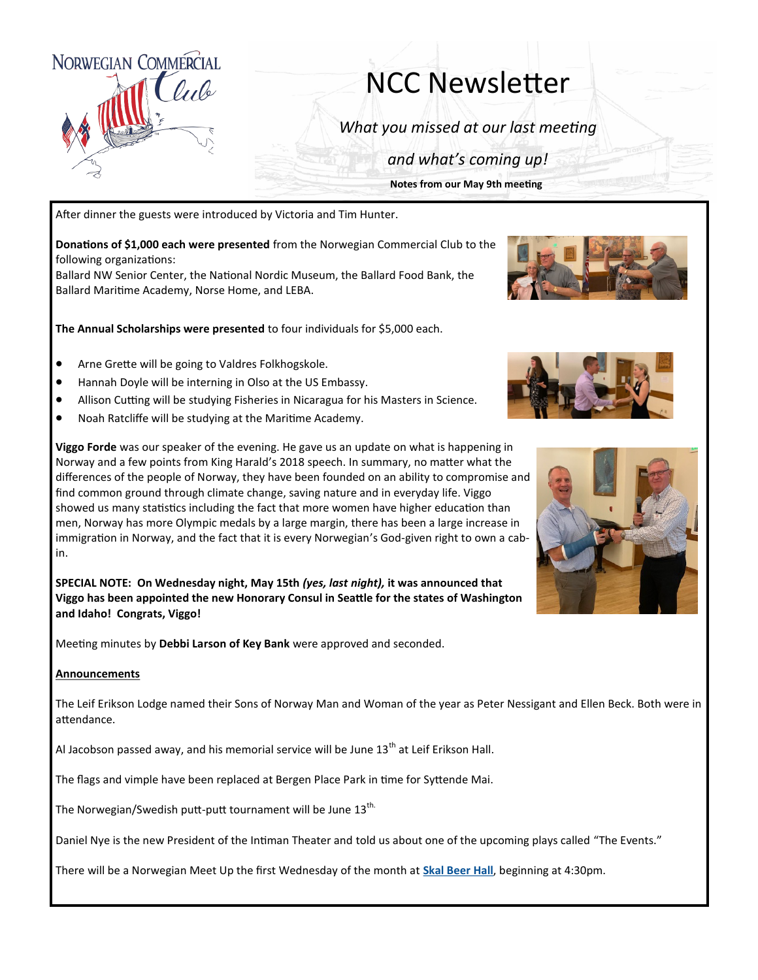

## NCC Newsletter

*What you missed at our last meeting*

*and what's coming up!*

**Notes from our May 9th meeting**

After dinner the guests were introduced by Victoria and Tim Hunter.

**Donations of \$1,000 each were presented** from the Norwegian Commercial Club to the following organizations:

Ballard NW Senior Center, the National Nordic Museum, the Ballard Food Bank, the Ballard Maritime Academy, Norse Home, and LEBA.

**The Annual Scholarships were presented** to four individuals for \$5,000 each.

- Arne Grette will be going to Valdres Folkhogskole.
- Hannah Doyle will be interning in Olso at the US Embassy.
- Allison Cutting will be studying Fisheries in Nicaragua for his Masters in Science.
- Noah Ratcliffe will be studying at the Maritime Academy.





**Viggo Forde** was our speaker of the evening. He gave us an update on what is happening in Norway and a few points from King Harald's 2018 speech. In summary, no matter what the differences of the people of Norway, they have been founded on an ability to compromise and find common ground through climate change, saving nature and in everyday life. Viggo showed us many statistics including the fact that more women have higher education than men, Norway has more Olympic medals by a large margin, there has been a large increase in immigration in Norway, and the fact that it is every Norwegian's God-given right to own a cabin.

**SPECIAL NOTE: On Wednesday night, May 15th** *(yes, last night),* **it was announced that Viggo has been appointed the new Honorary Consul in Seattle for the states of Washington and Idaho! Congrats, Viggo!**

Meeting minutes by **Debbi Larson of Key Bank** were approved and seconded.

## **Announcements**

The Leif Erikson Lodge named their Sons of Norway Man and Woman of the year as Peter Nessigant and Ellen Beck. Both were in attendance.

Al Jacobson passed away, and his memorial service will be June  $13<sup>th</sup>$  at Leif Erikson Hall.

The flags and vimple have been replaced at Bergen Place Park in time for Syttende Mai.

The Norwegian/Swedish putt-putt tournament will be June 13<sup>th.</sup>

Daniel Nye is the new President of the Intiman Theater and told us about one of the upcoming plays called "The Events."

There will be a Norwegian Meet Up the first Wednesday of the month at **[Skal Beer Hall](http://www.skalballard.com/)**, beginning at 4:30pm.